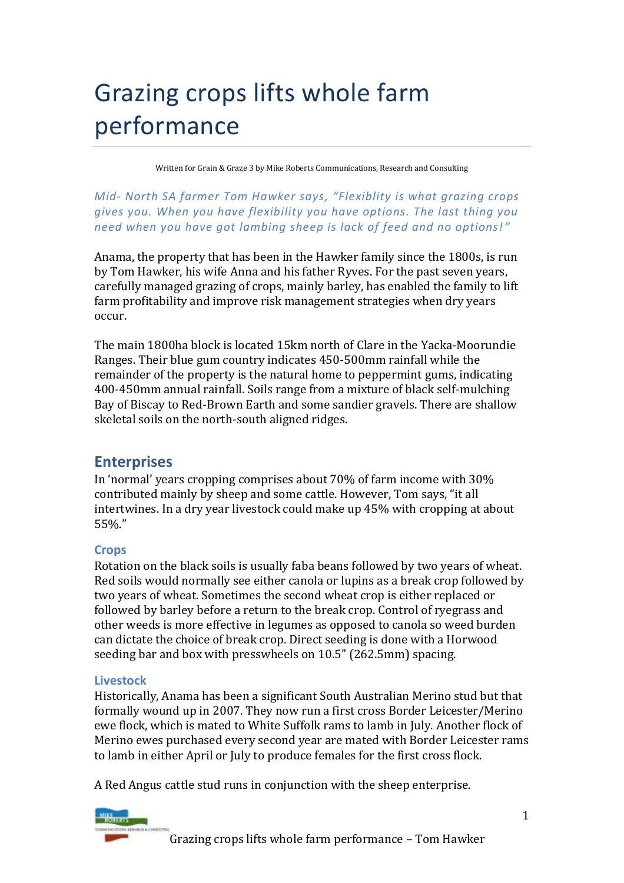# Grazing crops lifts whole farm performance

Written for Grain & Graze 3 by Mike Roberts Communications, Research and Consulting

*Mid- North SA farmer Tom Hawker says, "Flexiblity is what grazing crops gives you. When you have flexibility you have options. The last thing you need when you have got lambing sheep is lack of feed and no options! "*

Anama, the property that has been in the Hawker family since the 1800s, is run by Tom Hawker, his wife Anna and his father Ryves. For the past seven years, carefully managed grazing of crops, mainly barley, has enabled the family to lift farm profitability and improve risk management strategies when dry years occur.

The main 1800ha block is located 15km north of Clare in the Yacka-Moorundie Ranges. Their blue gum country indicates 450-500mm rainfall while the remainder of the property is the natural home to peppermint gums, indicating 400-450mm annual rainfall. Soils range from a mixture of black self-mulching Bay of Biscay to Red-Brown Earth and some sandier gravels. There are shallow skeletal soils on the north-south aligned ridges.

# **Enterprises**

In 'normal' years cropping comprises about 70% of farm income with 30% contributed mainly by sheep and some cattle. However, Tom says, "it all intertwines. In a dry year livestock could make up 45% with cropping at about 55%."

# **Crops**

Rotation on the black soils is usually faba beans followed by two years of wheat. Red soils would normally see either canola or lupins as a break crop followed by two years of wheat. Sometimes the second wheat crop is either replaced or followed by barley before a return to the break crop. Control of ryegrass and other weeds is more effective in legumes as opposed to canola so weed burden can dictate the choice of break crop. Direct seeding is done with a Horwood seeding bar and box with presswheels on 10.5" (262.5mm) spacing.

# **Livestock**

Historically, Anama has been a significant South Australian Merino stud but that formally wound up in 2007. They now run a first cross Border Leicester/Merino ewe flock, which is mated to White Suffolk rams to lamb in July. Another flock of Merino ewes purchased every second year are mated with Border Leicester rams to lamb in either April or July to produce females for the first cross flock.

A Red Angus cattle stud runs in conjunction with the sheep enterprise.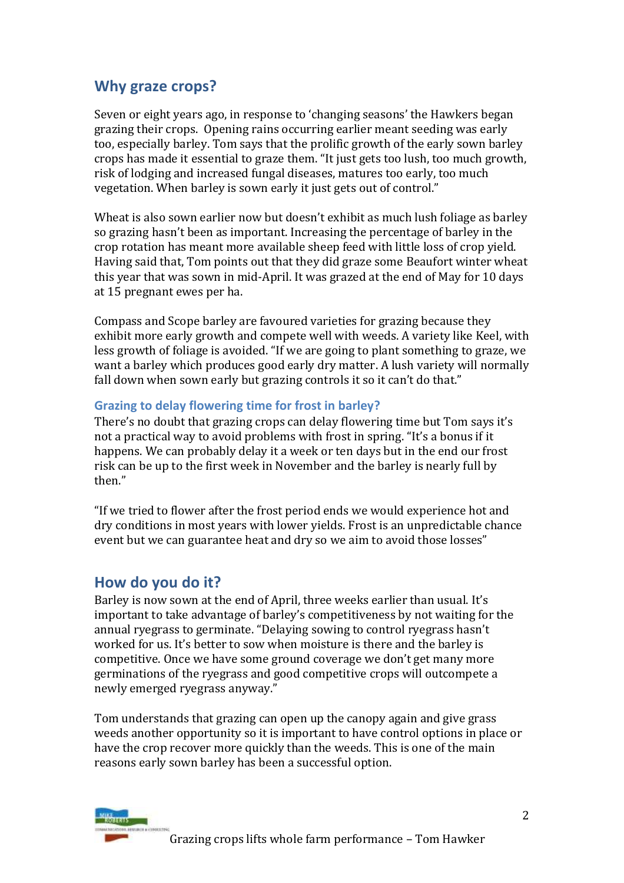# **Why graze crops?**

Seven or eight years ago, in response to 'changing seasons' the Hawkers began grazing their crops. Opening rains occurring earlier meant seeding was early too, especially barley. Tom says that the prolific growth of the early sown barley crops has made it essential to graze them. "It just gets too lush, too much growth, risk of lodging and increased fungal diseases, matures too early, too much vegetation. When barley is sown early it just gets out of control."

Wheat is also sown earlier now but doesn't exhibit as much lush foliage as barley so grazing hasn't been as important. Increasing the percentage of barley in the crop rotation has meant more available sheep feed with little loss of crop yield. Having said that, Tom points out that they did graze some Beaufort winter wheat this year that was sown in mid-April. It was grazed at the end of May for 10 days at 15 pregnant ewes per ha.

Compass and Scope barley are favoured varieties for grazing because they exhibit more early growth and compete well with weeds. A variety like Keel, with less growth of foliage is avoided. "If we are going to plant something to graze, we want a barley which produces good early dry matter. A lush variety will normally fall down when sown early but grazing controls it so it can't do that."

# **Grazing to delay flowering time for frost in barley?**

There's no doubt that grazing crops can delay flowering time but Tom says it's not a practical way to avoid problems with frost in spring. "It's a bonus if it happens. We can probably delay it a week or ten days but in the end our frost risk can be up to the first week in November and the barley is nearly full by then."

"If we tried to flower after the frost period ends we would experience hot and dry conditions in most years with lower yields. Frost is an unpredictable chance event but we can guarantee heat and dry so we aim to avoid those losses"

# **How do you do it?**

Barley is now sown at the end of April, three weeks earlier than usual. It's important to take advantage of barley's competitiveness by not waiting for the annual ryegrass to germinate. "Delaying sowing to control ryegrass hasn't worked for us. It's better to sow when moisture is there and the barley is competitive. Once we have some ground coverage we don't get many more germinations of the ryegrass and good competitive crops will outcompete a newly emerged ryegrass anyway."

Tom understands that grazing can open up the canopy again and give grass weeds another opportunity so it is important to have control options in place or have the crop recover more quickly than the weeds. This is one of the main reasons early sown barley has been a successful option.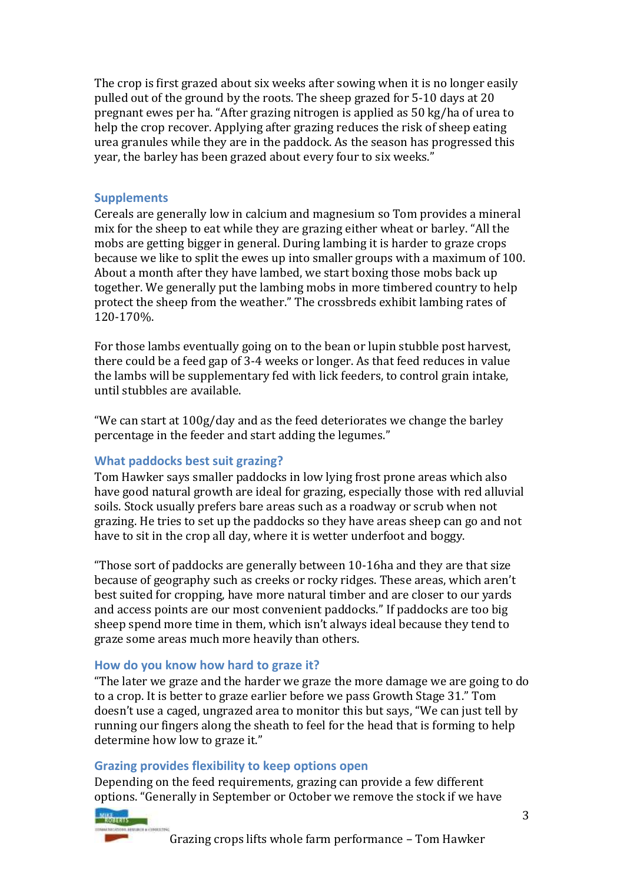The crop is first grazed about six weeks after sowing when it is no longer easily pulled out of the ground by the roots. The sheep grazed for 5-10 days at 20 pregnant ewes per ha. "After grazing nitrogen is applied as 50 kg/ha of urea to help the crop recover. Applying after grazing reduces the risk of sheep eating urea granules while they are in the paddock. As the season has progressed this year, the barley has been grazed about every four to six weeks."

# **Supplements**

Cereals are generally low in calcium and magnesium so Tom provides a mineral mix for the sheep to eat while they are grazing either wheat or barley. "All the mobs are getting bigger in general. During lambing it is harder to graze crops because we like to split the ewes up into smaller groups with a maximum of 100. About a month after they have lambed, we start boxing those mobs back up together. We generally put the lambing mobs in more timbered country to help protect the sheep from the weather." The crossbreds exhibit lambing rates of 120-170%.

For those lambs eventually going on to the bean or lupin stubble post harvest, there could be a feed gap of 3-4 weeks or longer. As that feed reduces in value the lambs will be supplementary fed with lick feeders, to control grain intake, until stubbles are available.

"We can start at 100g/day and as the feed deteriorates we change the barley percentage in the feeder and start adding the legumes."

# **What paddocks best suit grazing?**

Tom Hawker says smaller paddocks in low lying frost prone areas which also have good natural growth are ideal for grazing, especially those with red alluvial soils. Stock usually prefers bare areas such as a roadway or scrub when not grazing. He tries to set up the paddocks so they have areas sheep can go and not have to sit in the crop all day, where it is wetter underfoot and boggy.

"Those sort of paddocks are generally between 10-16ha and they are that size because of geography such as creeks or rocky ridges. These areas, which aren't best suited for cropping, have more natural timber and are closer to our yards and access points are our most convenient paddocks." If paddocks are too big sheep spend more time in them, which isn't always ideal because they tend to graze some areas much more heavily than others.

#### **How do you know how hard to graze it?**

"The later we graze and the harder we graze the more damage we are going to do to a crop. It is better to graze earlier before we pass Growth Stage 31." Tom doesn't use a caged, ungrazed area to monitor this but says, "We can just tell by running our fingers along the sheath to feel for the head that is forming to help determine how low to graze it."

# **Grazing provides flexibility to keep options open**

Depending on the feed requirements, grazing can provide a few different options. "Generally in September or October we remove the stock if we have

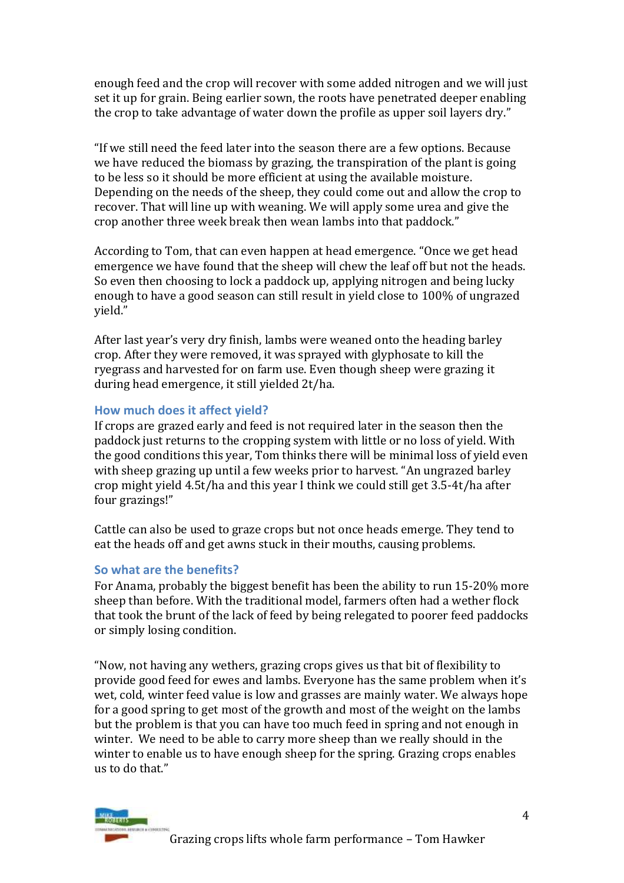enough feed and the crop will recover with some added nitrogen and we will just set it up for grain. Being earlier sown, the roots have penetrated deeper enabling the crop to take advantage of water down the profile as upper soil layers dry."

"If we still need the feed later into the season there are a few options. Because we have reduced the biomass by grazing, the transpiration of the plant is going to be less so it should be more efficient at using the available moisture. Depending on the needs of the sheep, they could come out and allow the crop to recover. That will line up with weaning. We will apply some urea and give the crop another three week break then wean lambs into that paddock."

According to Tom, that can even happen at head emergence. "Once we get head emergence we have found that the sheep will chew the leaf off but not the heads. So even then choosing to lock a paddock up, applying nitrogen and being lucky enough to have a good season can still result in yield close to 100% of ungrazed yield."

After last year's very dry finish, lambs were weaned onto the heading barley crop. After they were removed, it was sprayed with glyphosate to kill the ryegrass and harvested for on farm use. Even though sheep were grazing it during head emergence, it still yielded 2t/ha.

# **How much does it affect yield?**

If crops are grazed early and feed is not required later in the season then the paddock just returns to the cropping system with little or no loss of yield. With the good conditions this year, Tom thinks there will be minimal loss of yield even with sheep grazing up until a few weeks prior to harvest. "An ungrazed barley crop might yield 4.5t/ha and this year I think we could still get 3.5-4t/ha after four grazings!"

Cattle can also be used to graze crops but not once heads emerge. They tend to eat the heads off and get awns stuck in their mouths, causing problems.

# **So what are the benefits?**

For Anama, probably the biggest benefit has been the ability to run 15-20% more sheep than before. With the traditional model, farmers often had a wether flock that took the brunt of the lack of feed by being relegated to poorer feed paddocks or simply losing condition.

"Now, not having any wethers, grazing crops gives us that bit of flexibility to provide good feed for ewes and lambs. Everyone has the same problem when it's wet, cold, winter feed value is low and grasses are mainly water. We always hope for a good spring to get most of the growth and most of the weight on the lambs but the problem is that you can have too much feed in spring and not enough in winter. We need to be able to carry more sheep than we really should in the winter to enable us to have enough sheep for the spring. Grazing crops enables us to do that."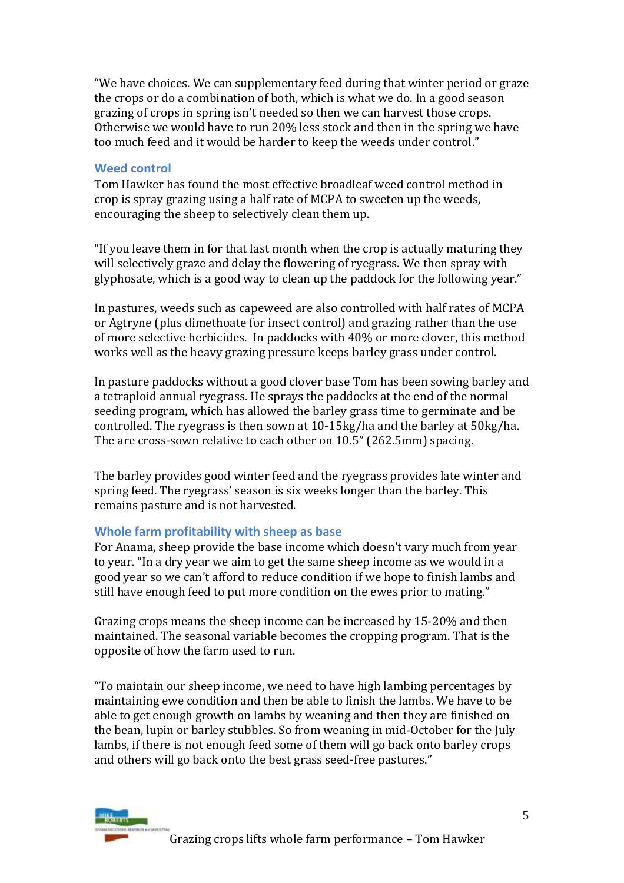"We have choices. We can supplementary feed during that winter period or graze the crops or do a combination of both, which is what we do. In a good season grazing of crops in spring isn't needed so then we can harvest those crops. Otherwise we would have to run 20% less stock and then in the spring we have too much feed and it would be harder to keep the weeds under control."

# **Weed control**

Tom Hawker has found the most effective broadleaf weed control method in crop is spray grazing using a half rate of MCPA to sweeten up the weeds, encouraging the sheep to selectively clean them up.

"If you leave them in for that last month when the crop is actually maturing they will selectively graze and delay the flowering of ryegrass. We then spray with glyphosate, which is a good way to clean up the paddock for the following year."

In pastures, weeds such as capeweed are also controlled with half rates of MCPA or Agtryne (plus dimethoate for insect control) and grazing rather than the use of more selective herbicides. In paddocks with 40% or more clover, this method works well as the heavy grazing pressure keeps barley grass under control.

In pasture paddocks without a good clover base Tom has been sowing barley and a tetraploid annual ryegrass. He sprays the paddocks at the end of the normal seeding program, which has allowed the barley grass time to germinate and be controlled. The ryegrass is then sown at 10-15kg/ha and the barley at 50kg/ha. The are cross-sown relative to each other on 10.5" (262.5mm) spacing.

The barley provides good winter feed and the ryegrass provides late winter and spring feed. The ryegrass' season is six weeks longer than the barley. This remains pasture and is not harvested.

# **Whole farm profitability with sheep as base**

For Anama, sheep provide the base income which doesn't vary much from year to year. "In a dry year we aim to get the same sheep income as we would in a good year so we can't afford to reduce condition if we hope to finish lambs and still have enough feed to put more condition on the ewes prior to mating."

Grazing crops means the sheep income can be increased by 15-20% and then maintained. The seasonal variable becomes the cropping program. That is the opposite of how the farm used to run.

"To maintain our sheep income, we need to have high lambing percentages by maintaining ewe condition and then be able to finish the lambs. We have to be able to get enough growth on lambs by weaning and then they are finished on the bean, lupin or barley stubbles. So from weaning in mid-October for the July lambs, if there is not enough feed some of them will go back onto barley crops and others will go back onto the best grass seed-free pastures."

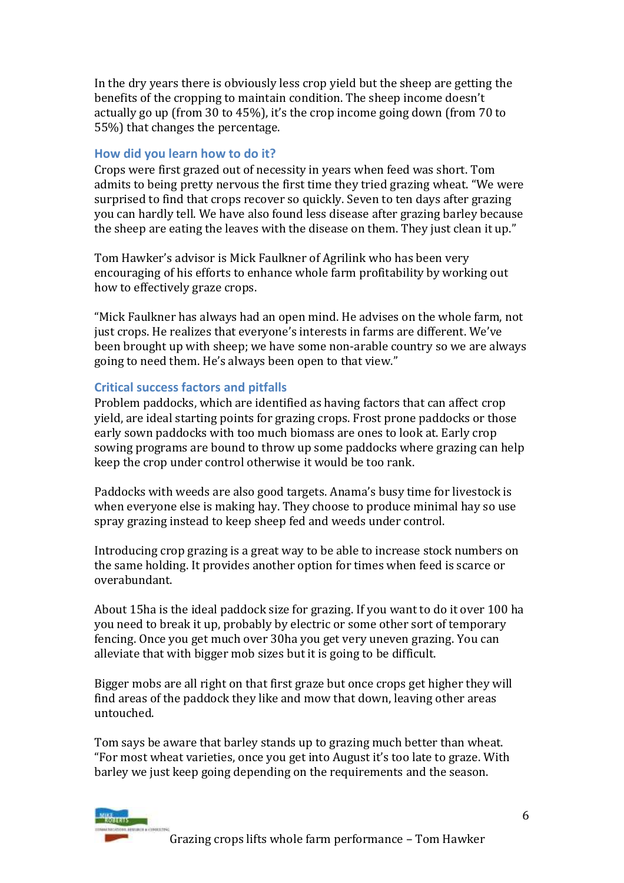In the dry years there is obviously less crop yield but the sheep are getting the benefits of the cropping to maintain condition. The sheep income doesn't actually go up (from 30 to 45%), it's the crop income going down (from 70 to 55%) that changes the percentage.

# **How did you learn how to do it?**

Crops were first grazed out of necessity in years when feed was short. Tom admits to being pretty nervous the first time they tried grazing wheat. "We were surprised to find that crops recover so quickly. Seven to ten days after grazing you can hardly tell. We have also found less disease after grazing barley because the sheep are eating the leaves with the disease on them. They just clean it up."

Tom Hawker's advisor is Mick Faulkner of Agrilink who has been very encouraging of his efforts to enhance whole farm profitability by working out how to effectively graze crops.

"Mick Faulkner has always had an open mind. He advises on the whole farm, not just crops. He realizes that everyone's interests in farms are different. We've been brought up with sheep; we have some non-arable country so we are always going to need them. He's always been open to that view."

# **Critical success factors and pitfalls**

Problem paddocks, which are identified as having factors that can affect crop yield, are ideal starting points for grazing crops. Frost prone paddocks or those early sown paddocks with too much biomass are ones to look at. Early crop sowing programs are bound to throw up some paddocks where grazing can help keep the crop under control otherwise it would be too rank.

Paddocks with weeds are also good targets. Anama's busy time for livestock is when everyone else is making hay. They choose to produce minimal hay so use spray grazing instead to keep sheep fed and weeds under control.

Introducing crop grazing is a great way to be able to increase stock numbers on the same holding. It provides another option for times when feed is scarce or overabundant.

About 15ha is the ideal paddock size for grazing. If you want to do it over 100 ha you need to break it up, probably by electric or some other sort of temporary fencing. Once you get much over 30ha you get very uneven grazing. You can alleviate that with bigger mob sizes but it is going to be difficult.

Bigger mobs are all right on that first graze but once crops get higher they will find areas of the paddock they like and mow that down, leaving other areas untouched.

Tom says be aware that barley stands up to grazing much better than wheat. "For most wheat varieties, once you get into August it's too late to graze. With barley we just keep going depending on the requirements and the season.